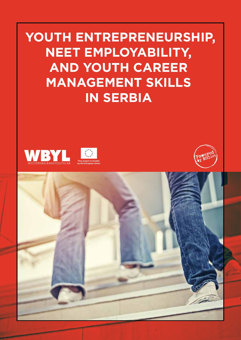**YOUTH ENTREPRENEURSHIP, NEET EMPLOYABILITY, AND YOUTH CAREER MANAGEMENT SKILLS IN SERBIA** 







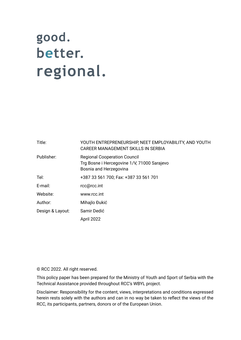# good. better. regional.

| Title:           | YOUTH ENTREPRENEURSHIP, NEET EMPLOYABILITY, AND YOUTH<br>CAREER MANAGEMENT SKILLS IN SERBIA                  |
|------------------|--------------------------------------------------------------------------------------------------------------|
| Publisher:       | <b>Regional Cooperation Council</b><br>Trg Bosne i Hercegovine 1/V, 71000 Sarajevo<br>Bosnia and Herzegovina |
| Tel:             | +387 33 561 700; Fax: +387 33 561 701                                                                        |
| E-mail:          | rcc@rcc.int                                                                                                  |
| Website:         | www.rcc.int                                                                                                  |
| Author:          | Mihajlo Đukić                                                                                                |
| Design & Layout: | Samir Dedić                                                                                                  |
|                  | April 2022                                                                                                   |

© RCC 2022. All right reserved.

This policy paper has been prepared for the Ministry of Youth and Sport of Serbia with the Technical Assistance provided throughout RCC's WBYL project.

Disclaimer: Responsibility for the content, views, interpretations and conditions expressed herein rests solely with the authors and can in no way be taken to reflect the views of the RCC, its participants, partners, donors or of the European Union.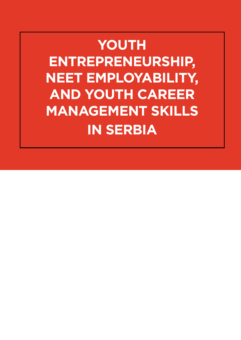# **YOUTH ENTREPRENEURSHIP, NEET EMPLOYABILITY, AND YOUTH CAREER MANAGEMENT SKILLS IN SERBIA**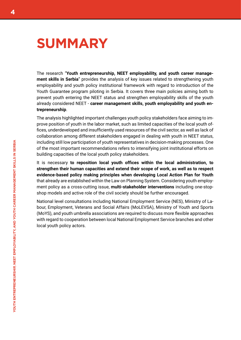### **SUMMARY**

The research "**Youth entrepreneurship, NEET employability, and youth career management skills in Serbia**" provides the analysis of key issues related to strengthening youth employability and youth policy institutional framework with regard to introduction of the Youth Guarantee program piloting in Serbia. It covers three main policies aiming both to prevent youth entering the NEET status and strengthen employability skills of the youth already considered NEET - **career management skills, youth employability and youth entrepreneurship**.

The analysis highlighted important challenges youth policy stakeholders face aiming to improve position of youth in the labor market, such as limited capacities of the local youth offices, underdeveloped and insufficiently used resources of the civil sector, as well as lack of collaboration among different stakeholders engaged in dealing with youth in NEET status, including still low participation of youth representatives in decision-making processes. One of the most important recommendations refers to intensifying joint institutional efforts on building capacities of the local youth policy stakeholders.

It is necessary **to reposition local youth offices within the local administration, to strengthen their human capacities and extend their scope of work, as well as to respect evidence-based policy making principles when developing Local Action Plan for Youth** that already are established within the Law on Planning System. Considering youth employment policy as a cross-cutting issue, **multi-stakeholder interventions** including one-stopshop models and active role of the civil society should be further encouraged.

National level consultations including National Employment Service (NES), Ministry of Labour, Employment, Veterans and Social Affairs (MoLEVSA), Ministry of Youth and Sports (MoYS), and youth umbrella associations are required to discuss more flexible approaches with regard to cooperation between local National Employment Service branches and other local youth policy actors.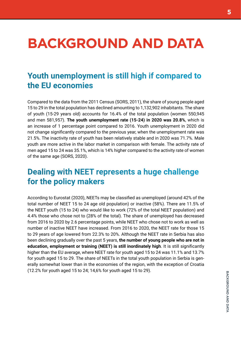# **BACKGROUND AND DATA**

### **Youth unemployment is still high if compared to the EU economies**

Compared to the data from the 2011 Census (SORS, 2011), the share of young people aged 15 to 29 in the total population has declined amounting to 1,132,902 inhabitants. The share of youth (15-29 years old) accounts for 16.4% of the total population (women 550,945 and men 581,957). **The youth unemployment rate (15-24) in 2020 was 20.8%**, which is an increase of 1 percentage point compared to 2016. Youth unemployment in 2020 did not change significantly compared to the previous year, when the unemployment rate was 21.5%. The inactivity rate of youth has been relatively stable and in 2020 was 71.7%. Male youth are more active in the labor market in comparison with female. The activity rate of men aged 15 to 24 was 35.1%, which is 14% higher compared to the activity rate of women of the same age (SORS, 2020).

### **Dealing with NEET represents a huge challenge for the policy makers**

According to Eurostat (2020), NEETs may be classified as unemployed (around 42% of the total number of NEET 15 to 24 age old population) or inactive (58%). There are 11.5% of the NEET youth (15 to 24) who would like to work (72% of the total NEET population) and 4.4% those who chose not to (28% of the total). The share of unemployed has decreased from 2016 to 2020 by 2.6 percentage points, while NEET who chose not to work as well as number of inactive NEET have increased. From 2016 to 2020, the NEET rate for those 15 to 29 years of age lowered from 22.3% to 20%. Although the NEET rate in Serbia has also been declining gradually over the past 5 years, **the number of young people who are not in education, employment or training (NEET) is still inordinately high**. It is still significantly higher than the EU average, where NEET rate for youth aged 15 to 24 was 11.1% and 13.7% for youth aged 15 to 29. The share of NEETs in the total youth population in Serbia is generally somewhat lower than in the economies of the region, with the exception of Croatia (12.2% for youth aged 15 to 24; 14,6% for youth aged 15 to 29).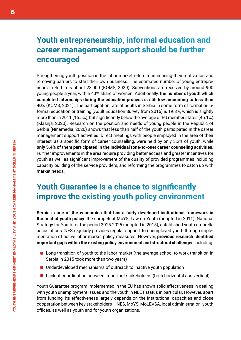### **Youth entrepreneurship, informal education and career management support should be further encouraged**

Strengthening youth position in the labor market refers to increasing their motivation and removing barriers to start their own business. The estimated number of young entrepreneurs in Serbia is about 28,000 (KOMS, 2020). Subventions are received by around 900 young people a year, with a 40% share of women. Additionally, **the number of youth which completed internships during the education process is still low amounting to less than 40%** (KOMS, 2021). The participation rate of adults in Serbia in some form of formal or informal education or training (Adult Education Survey from 2016) is 19.8%, which is slightly more than in 2011 (16.5%), but significantly below the average of EU member states (45.1%) (Klasnja, 2020). Research on the position and needs of young people in the Republic of Serbia (Ninamedia, 2020) shows that less than half of the youth participated in the career management support activities. Direct meetings with people employed in the area of their interest, as a specific form of career counselling, were held by only 3.2% of youth, while **only 5.4% of them participated in the individual (one-to-one) career counseling activities**. Further improvements in the area require providing better access and greater incentives for youth as well as significant improvement of the quality of provided programmes including capacity building of the service providers, and reforming the programmes to catch up with market needs.

### **Youth Guarantee is a chance to significantly improve the existing youth policy environment**

**Serbia is one of the economies that has a fairly developed institutional framework in the field of youth policy**: the competent MoYS; Law on Youth (adopted in 2011); National Strategy for Youth for the period 2015-2025 (adopted in 2015), established youth umbrella associations. NES regularly provides regular support to unemployed youth through implementation of active labor market policy measures. However, **previous research identified important gaps within the existing policy environment and structural challenges** including:

- Long transition of youth to the labor market (the average school-to-work transition in Serbia in 2015 took more than two years)
- Underdeveloped mechanisms of outreach to inactive youth population
- Lack of coordination between important stakeholders (both horizontal and vertical)

Youth Guarantee program implemented in the EU has shown solid effectiveness in dealing with youth unemployment issues and the youth in NEET status in particular. However, apart from funding, its effectiveness largely depends on the institutional capacities and close cooperation between key stakeholders – NES, MoYS, MoLEVSA, local administration, youth offices, as well as youth and for youth organizations.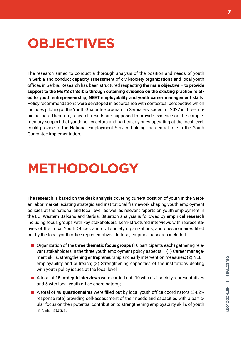## **OBJECTIVES**

The research aimed to conduct a thorough analysis of the position and needs of youth in Serbia and conduct capacity assessment of civil-society organizations and local youth offices in Serbia. Research has been structured respecting **the main objective – to provide support to the MoYS of Serbia through obtaining evidence on the existing practice related to youth entrepreneurship, NEET employability and youth career management skills**. Policy recommendations were developed in accordance with contextual perspective which includes piloting of the Youth Guarantee program in Serbia envisaged for 2022 in three municipalities. Therefore, research results are supposed to provide evidence on the complementary support that youth policy actors and particularly ones operating at the local level, could provide to the National Employment Service holding the central role in the Youth Guarantee implementation.

## **METHODOLOGY**

The research is based on the **desk analysis** covering current position of youth in the Serbian labor market, existing strategic and institutional framework shaping youth employment policies at the national and local level, as well as relevant reports on youth employment in the EU, Western Balkans and Serbia. Situation analysis is followed by **empirical research**  including focus groups with key stakeholders, semi-structured interviews with representatives of the Local Youth Offices and civil society organizations, and questionnaires filled out by the local youth office representatives. In total, empirical research included:

- Organization of the **three thematic focus groups** (10 participants each) gathering relevant stakeholders in the three youth employment policy aspects  $-$  (1) Career management skills, strengthening entrepreneurship and early intervention measures; (2) NEET employability and outreach; (3) Strengthening capacities of the institutions dealing with youth policy issues at the local level;
- A total of **15 in-depth interviews** were carried out (10 with civil society representatives and 5 with local youth office coordinators);
- A total of **48 questionnaires** were filled out by local youth office coordinators (34.2% response rate) providing self-assessment of their needs and capacities with a particular focus on their potential contribution to strengthening employability skills of youth in NEET status.

**OBJECTIVES | METHODOLOGY**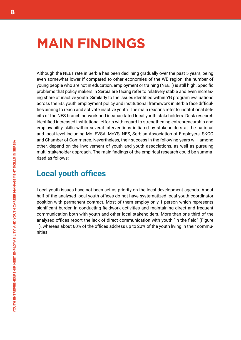### **MAIN FINDINGS**

Although the NEET rate in Serbia has been declining gradually over the past 5 years, being even somewhat lower if compared to other economies of the WB region, the number of young people who are not in education, employment or training (NEET) is still high. Specific problems that policy makers in Serbia are facing refer to relatively stable and even increasing share of inactive youth. Similarly to the issues identified within YG program evaluations across the EU, youth employment policy and institutional framework in Serbia face difficulties aiming to reach and activate inactive youth. The main reasons refer to institutional deficits of the NES branch network and incapacitated local youth stakeholders. Desk research identified increased institutional efforts with regard to strengthening entrepreneurship and employability skills within several interventions initiated by stakeholders at the national and local level including MoLEVSA, MoYS, NES, Serbian Association of Employers, SKGO and Chamber of Commerce. Nevertheless, their success in the following years will, among other, depend on the involvement of youth and youth associations, as well as pursuing multi-stakeholder approach. The main findings of the empirical research could be summarized as follows:

#### **Local youth offices**

Local youth issues have not been set as priority on the local development agenda. About half of the analysed local youth offices do not have systematized local youth coordinator position with permanent contract. Most of them employ only 1 person which represents significant burden in conducting fieldwork activities and maintaining direct and frequent communication both with youth and other local stakeholders. More than one third of the analysed offices report the lack of direct communication with youth "in the field" (Figure 1), whereas about 60% of the offices address up to 20% of the youth living in their communities.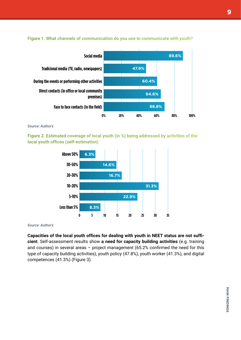

#### Figure 1. What channels of communication do you use to communicate with youth?

*Source: Author's*

Figure 2. Estimated coverage of local youth (in %) being addressed by activities of the local youth offices (self-estimation)



*Source: Author's*

**Capacities of the local youth offices for dealing with youth in NEET status are not sufficient**. Self-assessment results show **a need for capacity building activities** (e.g. training and courses) in several areas – project management (65.2% confirmed the need for this type of capacity building activities), youth policy (47.8%), youth worker (41.3%), and digital competences (41.3%) (Figure 3).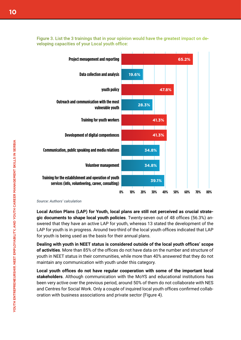

Figure 3. List the 3 trainings that in your opinion would have the greatest impact on developing capacities of your Local youth office:

*Source: Authors' calculation*

**Local Action Plans (LAP) for Youth, local plans are still not perceived as crucial strategic documents to shape local youth policies**. Twenty-seven out of 48 offices (56.3%) answered that they have an active LAP for youth, whereas 13 stated the development of the LAP for youth is in progress. Around two-third of the local youth offices indicated that LAP for youth is being used as the basis for their annual plans.

**Dealing with youth in NEET status is considered outside of the local youth offices' scope of activities**. More than 85% of the offices do not have data on the number and structure of youth in NEET status in their communities, while more than 40% answered that they do not maintain any communication with youth under this category.

**Local youth offices do not have regular cooperation with some of the important local stakeholders**. Although communication with the MoYS and educational institutions has been very active over the previous period, around 50% of them do not collaborate with NES and Centres for Social Work. Only a couple of inquired local youth offices confirmed collaboration with business associations and private sector (Figure 4).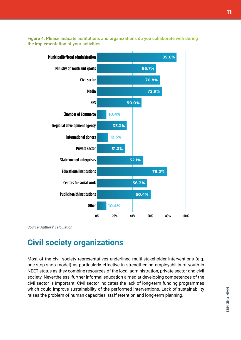Figure 4. Please indicate institutions and organizations do you collaborate with during the implementation of your activities.



*Source: Authors' calculation*

#### **Civil society organizations**

Most of the civil society representatives underlined multi-stakeholder interventions (e.g. one-stop-shop model) as particularly effective in strengthening employability of youth in NEET status as they combine resources of the local administration, private sector and civil society. Nevertheless, further informal education aimed at developing competences of the civil sector is important. Civil sector indicates the lack of long-term funding programmes which could improve sustainability of the performed interventions. Lack of sustainability raises the problem of human capacities, staff retention and long-term planning.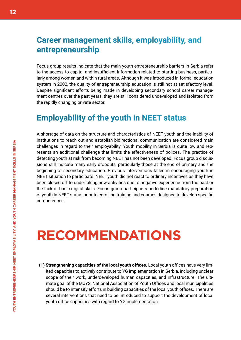### **Career management skills, employability, and entrepreneurship**

Focus group results indicate that the main youth entrepreneurship barriers in Serbia refer to the access to capital and insufficient information related to starting business, particularly among women and within rural areas. Although it was introduced in formal education system in 2002, the quality of entrepreneurship education is still not at satisfactory level. Despite significant efforts being made in developing secondary school career management centres over the past years, they are still considered undeveloped and isolated from the rapidly changing private sector.

#### **Employability of the youth in NEET status**

A shortage of data on the structure and characteristics of NEET youth and the inability of institutions to reach out and establish bidirectional communication are considered main challenges in regard to their employability. Youth mobility in Serbia is quite low and represents an additional challenge that limits the effectiveness of polices. The practice of detecting youth at risk from becoming NEET has not been developed. Focus group discussions still indicate many early dropouts, particularly those at the end of primary and the beginning of secondary education. Previous interventions failed in encouraging youth in NEET situation to participate. NEET youth did not react to ordinary incentives as they have been closed off to undertaking new activities due to negative experience from the past or the lack of basic digital skills. Focus group participants underline mandatory preparation of youth in NEET status prior to enrolling training and courses designed to develop specific competences.

### **RECOMMENDATIONS**

**(1) Strengthening capacities of the local youth offices**. Local youth offices have very limited capacities to actively contribute to YG implementation in Serbia, including unclear scope of their work, underdeveloped human capacities, and infrastructure. The ultimate goal of the MoYS, National Association of Youth Offices and local municipalities should be to intensify efforts in building capacities of the local youth offices. There are several interventions that need to be introduced to support the development of local youth office capacities with regard to YG implementation: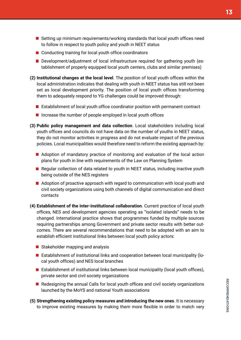- Setting up minimum requirements/working standards that local youth offices need to follow in respect to youth policy and youth in NEET status
- Conducting training for local youth office coordinators
- Development/adjustment of local infrastructure required for gathering youth (establishment of properly equipped local youth centers, clubs and similar premises)
- **(2) Institutional changes at the local level**. The position of local youth offices within the local administration indicates that dealing with youth in NEET status has still not been set as local development priority. The position of local youth offices transforming them to adequately respond to YG challenges could be improved through:
	- **E** Establishment of local youth office coordinator position with permanent contract
	- $\blacksquare$  Increase the number of people employed in local youth offices
- **(3) Public policy management and data collection**. Local stakeholders including local youth offices and councils do not have data on the number of youths in NEET status, they do not monitor activities in progress and do not evaluate impact of the previous policies. Local municipalities would therefore need to reform the existing approach by:
	- Adoption of mandatory practice of monitoring and evaluation of the local action plans for youth in line with requirements of the Law on Planning System
	- Regular collection of data related to youth in NEET status, including inactive youth being outside of the NES registers
	- $\blacksquare$  Adoption of proactive approach with regard to communication with local youth and civil society organizations using both channels of digital communication and direct contacts
- **(4) Establishment of the inter-institutional collaboration**. Current practice of local youth offices, NES and development agencies operating as "isolated islands" needs to be changed. International practice shows that programmes funded by multiple sources requiring partnerships among Government and private sector results with better outcomes. There are several recommendations that need to be adopted with an aim to establish efficient institutional links between local youth policy actors:
	- $\blacksquare$  Stakeholder mapping and analysis
	- Establishment of institutional links and cooperation between local municipality (local youth offices) and NES local branches
	- **E** Establishment of institutional links between local municipality (local youth offices), private sector and civil society organizations
	- **Redesigning the annual Calls for local youth offices and civil society organizations** launched by the MoYS and national Youth associations
- **(5) Strengthening existing policy measures and introducing the new ones**. It is necessary to improve existing measures by making them more flexible in order to match very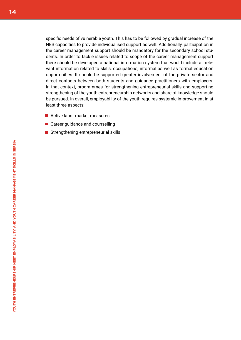specific needs of vulnerable youth. This has to be followed by gradual increase of the NES capacities to provide individualised support as well. Additionally, participation in the career management support should be mandatory for the secondary school students. In order to tackle issues related to scope of the career management support there should be developed a national information system that would include all relevant information related to skills, occupations, informal as well as formal education opportunities. It should be supported greater involvement of the private sector and direct contacts between both students and guidance practitioners with employers. In that context, programmes for strengthening entrepreneurial skills and supporting strengthening of the youth entrepreneurship networks and share of knowledge should be pursued. In overall, employability of the youth requires systemic improvement in at least three aspects:

- Active labor market measures
- Career guidance and counselling
- Strengthening entrepreneurial skills